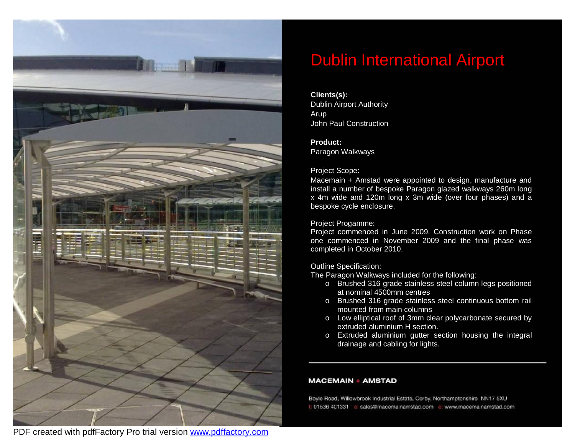

# Dublin International Airport

#### **Clients(s):**

Dublin Airport Authority Arup John Paul Construction

#### **Product:**

Paragon Walkways

#### Project Scope:

Macemain + Amstad were appointed to design, manufacture and install a number of bespoke Paragon glazed walkways 260m long x 4m wide and 120m long x 3m wide (over four phases) and a bespoke cycle enclosure.

#### Project Progamme:

Project commenced in June 2009. Construction work on Phase one commenced in November 2009 and the final phase was completed in October 2010.

#### Outline Specification:

The Paragon Walkways included for the following:

- o Brushed 316 grade stainless steel column legs positioned at nominal 4500mm centres
- o Brushed 316 grade stainless steel continuous bottom rail mounted from main columns
- o Low elliptical roof of 3mm clear polycarbonate secured by extruded aluminium H section.
- o Extruded aluminium gutter section housing the integral drainage and cabling for lights.

#### **MACEMAIN + AMSTAD**

Boyle Road, Willowbrook industrial Estate, Corby, Northamptonshire NN17 5XU t: 01536 401331 e: sales@macemainamstad.com e: www.macemainamstad.com

PDF created with pdfFactory Pro trial version [www.pdffactory.com](http://www.pdffactory.com)